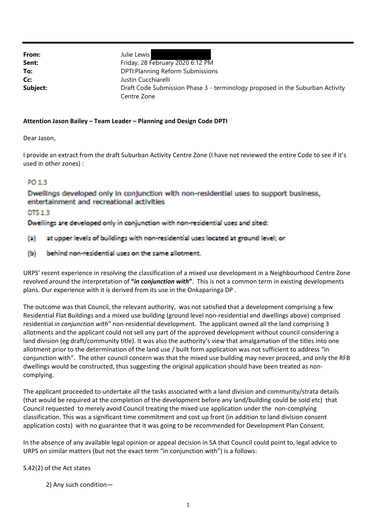**From:** Julie Lewis

**Sent:** Friday, 28 February 2020 6:12 PM **To:** DPTI:Planning Reform Submissions **Cc:** Justin Cucchiarelli **Subject: Example:** Draft Code Submission Phase 3 - terminology proposed in the Suburban Activity Centre Zone

## **Attention Jason Bailey – Team Leader – Planning and Design Code DPTI**

Dear Jason,

I provide an extract from the draft Suburban Activity Centre Zone (I have not reviewed the entire Code to see if it's used in other zones) :

## PO 1.3

Dwellings developed only in conjunction with non-residential uses to support business, entertainment and recreational activities

DTS 1.3

Dwellings are developed only in conjunction with non-residential uses and sited:

- at upper levels of buildings with non-residential uses located at ground level; or  $\left( a\right)$
- behind non-residential uses on the same allotment.  $(b)$

URPS' recent experience in resolving the classification of a mixed use development in a Neighbourhood Centre Zone revolved around the interpretation of **"***in conjunction with***"**. This is not a common term in existing developments plans. Our experience with it is derived from its use in the Onkaparinga DP .

The outcome was that Council, the relevant authority, was not satisfied that a development comprising a few Residential Flat Buildings and a mixed use building (ground level non‐residential and dwellings above) comprised residential *in conjunction with*" non‐residential development. The applicant owned all the land comprising 3 allotments and the applicant could not sell any part of the approved development without council considering a land division (eg draft/community title). It was also the authority's view that amalgamation of the titles into one allotment prior to the determination of the land use / built form application was not sufficient to address "in conjunction with". The other council concern was that the mixed use building may never proceed, and only the RFB dwellings would be constructed, thus suggesting the original application should have been treated as non‐ complying.

The applicant proceeded to undertake all the tasks associated with a land division and community/strata details (that would be required at the completion of the development before any land/building could be sold etc) that Council requested to merely avoid Council treating the mixed use application under the non‐complying classification. This was a significant time commitment and cost up front (in addition to land division consent application costs) with no guarantee that it was going to be recommended for Development Plan Consent.

In the absence of any available legal opinion or appeal decision in SA that Council could point to, legal advice to URPS on similar matters (but not the exact term "in conjunction with") is a follows:

## S.42(2) of the Act states

2) Any such condition—